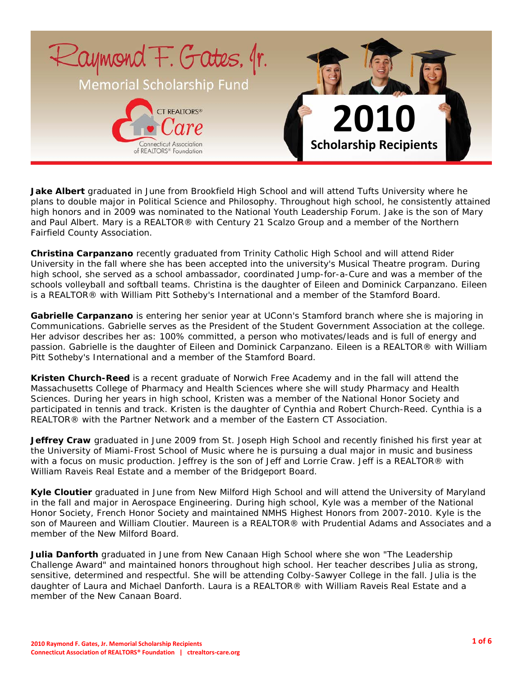

**Jake Albert** graduated in June from Brookfield High School and will attend Tufts University where he plans to double major in Political Science and Philosophy. Throughout high school, he consistently attained high honors and in 2009 was nominated to the National Youth Leadership Forum. Jake is the son of Mary and Paul Albert. Mary is a REALTOR® with Century 21 Scalzo Group and a member of the Northern Fairfield County Association.

**Christina Carpanzano** recently graduated from Trinity Catholic High School and will attend Rider University in the fall where she has been accepted into the university's Musical Theatre program. During high school, she served as a school ambassador, coordinated Jump-for-a-Cure and was a member of the schools volleyball and softball teams. Christina is the daughter of Eileen and Dominick Carpanzano. Eileen is a REALTOR® with William Pitt Sotheby's International and a member of the Stamford Board.

**Gabrielle Carpanzano** is entering her senior year at UConn's Stamford branch where she is majoring in Communications. Gabrielle serves as the President of the Student Government Association at the college. Her advisor describes her as: 100% committed, a person who motivates/leads and is full of energy and passion. Gabrielle is the daughter of Eileen and Dominick Carpanzano. Eileen is a REALTOR® with William Pitt Sotheby's International and a member of the Stamford Board.

**Kristen Church-Reed** is a recent graduate of Norwich Free Academy and in the fall will attend the Massachusetts College of Pharmacy and Health Sciences where she will study Pharmacy and Health Sciences. During her years in high school, Kristen was a member of the National Honor Society and participated in tennis and track. Kristen is the daughter of Cynthia and Robert Church-Reed. Cynthia is a REALTOR® with the Partner Network and a member of the Eastern CT Association.

**Jeffrey Craw** graduated in June 2009 from St. Joseph High School and recently finished his first year at the University of Miami-Frost School of Music where he is pursuing a dual major in music and business with a focus on music production. Jeffrey is the son of Jeff and Lorrie Craw. Jeff is a REALTOR® with William Raveis Real Estate and a member of the Bridgeport Board.

**Kyle Cloutier** graduated in June from New Milford High School and will attend the University of Maryland in the fall and major in Aerospace Engineering. During high school, Kyle was a member of the National Honor Society, French Honor Society and maintained NMHS Highest Honors from 2007-2010. Kyle is the son of Maureen and William Cloutier. Maureen is a REALTOR® with Prudential Adams and Associates and a member of the New Milford Board.

**Julia Danforth** graduated in June from New Canaan High School where she won "The Leadership Challenge Award" and maintained honors throughout high school. Her teacher describes Julia as strong, sensitive, determined and respectful. She will be attending Colby-Sawyer College in the fall. Julia is the daughter of Laura and Michael Danforth. Laura is a REALTOR® with William Raveis Real Estate and a member of the New Canaan Board.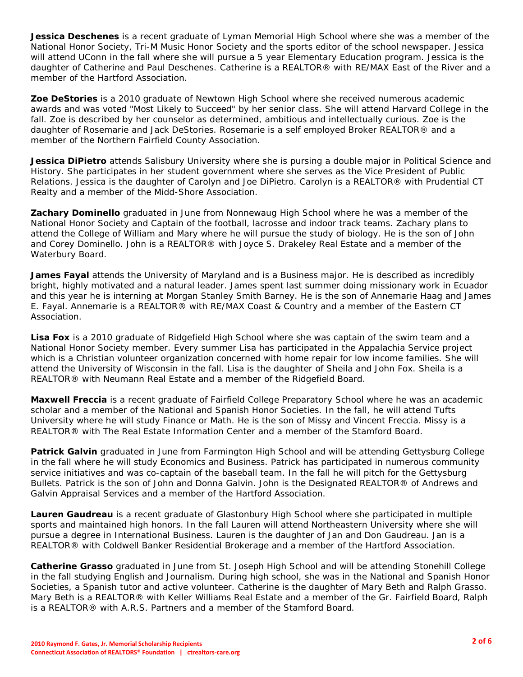**Jessica Deschenes** is a recent graduate of Lyman Memorial High School where she was a member of the National Honor Society, Tri-M Music Honor Society and the sports editor of the school newspaper. Jessica will attend UConn in the fall where she will pursue a 5 year Elementary Education program. Jessica is the daughter of Catherine and Paul Deschenes. Catherine is a REALTOR® with RE/MAX East of the River and a member of the Hartford Association.

**Zoe DeStories** is a 2010 graduate of Newtown High School where she received numerous academic awards and was voted "Most Likely to Succeed" by her senior class. She will attend Harvard College in the fall. Zoe is described by her counselor as determined, ambitious and intellectually curious. Zoe is the daughter of Rosemarie and Jack DeStories. Rosemarie is a self employed Broker REALTOR® and a member of the Northern Fairfield County Association.

**Jessica DiPietro** attends Salisbury University where she is pursing a double major in Political Science and History. She participates in her student government where she serves as the Vice President of Public Relations. Jessica is the daughter of Carolyn and Joe DiPietro. Carolyn is a REALTOR® with Prudential CT Realty and a member of the Midd-Shore Association.

**Zachary Dominello** graduated in June from Nonnewaug High School where he was a member of the National Honor Society and Captain of the football, lacrosse and indoor track teams. Zachary plans to attend the College of William and Mary where he will pursue the study of biology. He is the son of John and Corey Dominello. John is a REALTOR® with Joyce S. Drakeley Real Estate and a member of the Waterbury Board.

**James Fayal** attends the University of Maryland and is a Business major. He is described as incredibly bright, highly motivated and a natural leader. James spent last summer doing missionary work in Ecuador and this year he is interning at Morgan Stanley Smith Barney. He is the son of Annemarie Haag and James E. Fayal. Annemarie is a REALTOR® with RE/MAX Coast & Country and a member of the Eastern CT Association.

**Lisa Fox** is a 2010 graduate of Ridgefield High School where she was captain of the swim team and a National Honor Society member. Every summer Lisa has participated in the Appalachia Service project which is a Christian volunteer organization concerned with home repair for low income families. She will attend the University of Wisconsin in the fall. Lisa is the daughter of Sheila and John Fox. Sheila is a REALTOR® with Neumann Real Estate and a member of the Ridgefield Board.

**Maxwell Freccia** is a recent graduate of Fairfield College Preparatory School where he was an academic scholar and a member of the National and Spanish Honor Societies. In the fall, he will attend Tufts University where he will study Finance or Math. He is the son of Missy and Vincent Freccia. Missy is a REALTOR® with The Real Estate Information Center and a member of the Stamford Board.

**Patrick Galvin** graduated in June from Farmington High School and will be attending Gettysburg College in the fall where he will study Economics and Business. Patrick has participated in numerous community service initiatives and was co-captain of the baseball team. In the fall he will pitch for the Gettysburg Bullets. Patrick is the son of John and Donna Galvin. John is the Designated REALTOR® of Andrews and Galvin Appraisal Services and a member of the Hartford Association.

**Lauren Gaudreau** is a recent graduate of Glastonbury High School where she participated in multiple sports and maintained high honors. In the fall Lauren will attend Northeastern University where she will pursue a degree in International Business. Lauren is the daughter of Jan and Don Gaudreau. Jan is a REALTOR® with Coldwell Banker Residential Brokerage and a member of the Hartford Association.

**Catherine Grasso** graduated in June from St. Joseph High School and will be attending Stonehill College in the fall studying English and Journalism. During high school, she was in the National and Spanish Honor Societies, a Spanish tutor and active volunteer. Catherine is the daughter of Mary Beth and Ralph Grasso. Mary Beth is a REALTOR® with Keller Williams Real Estate and a member of the Gr. Fairfield Board, Ralph is a REALTOR® with A.R.S. Partners and a member of the Stamford Board.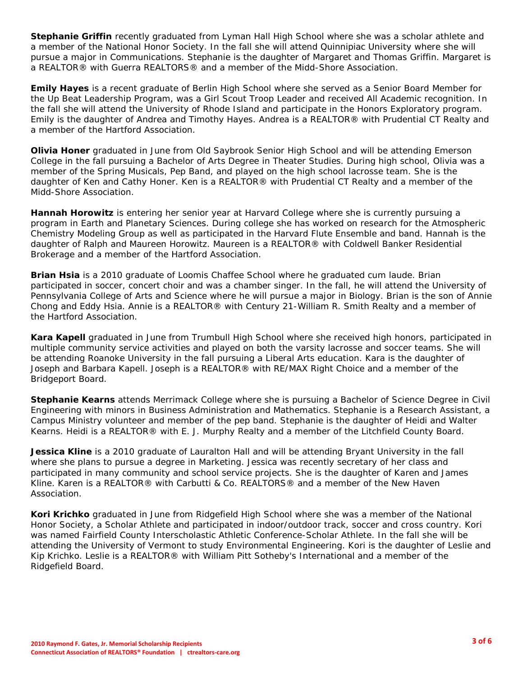**Stephanie Griffin** recently graduated from Lyman Hall High School where she was a scholar athlete and a member of the National Honor Society. In the fall she will attend Quinnipiac University where she will pursue a major in Communications. Stephanie is the daughter of Margaret and Thomas Griffin. Margaret is a REALTOR® with Guerra REALTORS® and a member of the Midd-Shore Association.

**Emily Hayes** is a recent graduate of Berlin High School where she served as a Senior Board Member for the Up Beat Leadership Program, was a Girl Scout Troop Leader and received All Academic recognition. In the fall she will attend the University of Rhode Island and participate in the Honors Exploratory program. Emily is the daughter of Andrea and Timothy Hayes. Andrea is a REALTOR® with Prudential CT Realty and a member of the Hartford Association.

**Olivia Honer** graduated in June from Old Saybrook Senior High School and will be attending Emerson College in the fall pursuing a Bachelor of Arts Degree in Theater Studies. During high school, Olivia was a member of the Spring Musicals, Pep Band, and played on the high school lacrosse team. She is the daughter of Ken and Cathy Honer. Ken is a REALTOR® with Prudential CT Realty and a member of the Midd-Shore Association.

**Hannah Horowitz** is entering her senior year at Harvard College where she is currently pursuing a program in Earth and Planetary Sciences. During college she has worked on research for the Atmospheric Chemistry Modeling Group as well as participated in the Harvard Flute Ensemble and band. Hannah is the daughter of Ralph and Maureen Horowitz. Maureen is a REALTOR® with Coldwell Banker Residential Brokerage and a member of the Hartford Association.

**Brian Hsia** is a 2010 graduate of Loomis Chaffee School where he graduated cum laude. Brian participated in soccer, concert choir and was a chamber singer. In the fall, he will attend the University of Pennsylvania College of Arts and Science where he will pursue a major in Biology. Brian is the son of Annie Chong and Eddy Hsia. Annie is a REALTOR® with Century 21-William R. Smith Realty and a member of the Hartford Association.

**Kara Kapell** graduated in June from Trumbull High School where she received high honors, participated in multiple community service activities and played on both the varsity lacrosse and soccer teams. She will be attending Roanoke University in the fall pursuing a Liberal Arts education. Kara is the daughter of Joseph and Barbara Kapell. Joseph is a REALTOR® with RE/MAX Right Choice and a member of the Bridgeport Board.

**Stephanie Kearns** attends Merrimack College where she is pursuing a Bachelor of Science Degree in Civil Engineering with minors in Business Administration and Mathematics. Stephanie is a Research Assistant, a Campus Ministry volunteer and member of the pep band. Stephanie is the daughter of Heidi and Walter Kearns. Heidi is a REALTOR® with E. J. Murphy Realty and a member of the Litchfield County Board.

**Jessica Kline** is a 2010 graduate of Lauralton Hall and will be attending Bryant University in the fall where she plans to pursue a degree in Marketing. Jessica was recently secretary of her class and participated in many community and school service projects. She is the daughter of Karen and James Kline. Karen is a REALTOR® with Carbutti & Co. REALTORS® and a member of the New Haven Association.

**Kori Krichko** graduated in June from Ridgefield High School where she was a member of the National Honor Society, a Scholar Athlete and participated in indoor/outdoor track, soccer and cross country. Kori was named Fairfield County Interscholastic Athletic Conference-Scholar Athlete. In the fall she will be attending the University of Vermont to study Environmental Engineering. Kori is the daughter of Leslie and Kip Krichko. Leslie is a REALTOR® with William Pitt Sotheby's International and a member of the Ridgefield Board.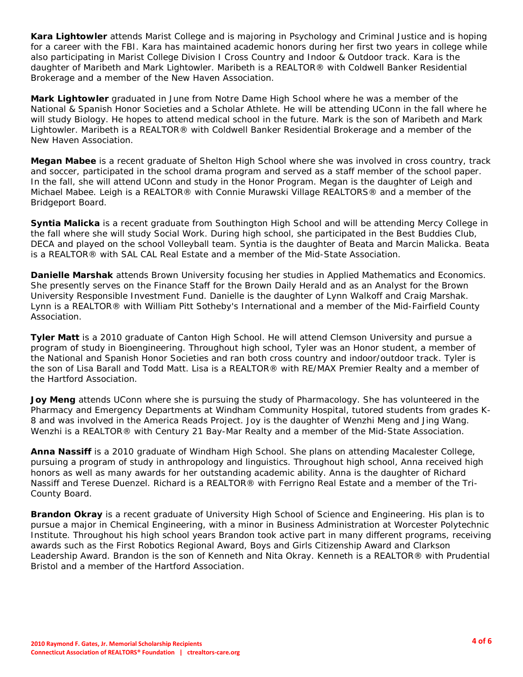**Kara Lightowler** attends Marist College and is majoring in Psychology and Criminal Justice and is hoping for a career with the FBI. Kara has maintained academic honors during her first two years in college while also participating in Marist College Division I Cross Country and Indoor & Outdoor track. Kara is the daughter of Maribeth and Mark Lightowler. Maribeth is a REALTOR® with Coldwell Banker Residential Brokerage and a member of the New Haven Association.

**Mark Lightowler** graduated in June from Notre Dame High School where he was a member of the National & Spanish Honor Societies and a Scholar Athlete. He will be attending UConn in the fall where he will study Biology. He hopes to attend medical school in the future. Mark is the son of Maribeth and Mark Lightowler. Maribeth is a REALTOR® with Coldwell Banker Residential Brokerage and a member of the New Haven Association.

**Megan Mabee** is a recent graduate of Shelton High School where she was involved in cross country, track and soccer, participated in the school drama program and served as a staff member of the school paper. In the fall, she will attend UConn and study in the Honor Program. Megan is the daughter of Leigh and Michael Mabee. Leigh is a REALTOR® with Connie Murawski Village REALTORS® and a member of the Bridgeport Board.

**Syntia Malicka** is a recent graduate from Southington High School and will be attending Mercy College in the fall where she will study Social Work. During high school, she participated in the Best Buddies Club, DECA and played on the school Volleyball team. Syntia is the daughter of Beata and Marcin Malicka. Beata is a REALTOR® with SAL CAL Real Estate and a member of the Mid-State Association.

**Danielle Marshak** attends Brown University focusing her studies in Applied Mathematics and Economics. She presently serves on the Finance Staff for the Brown Daily Herald and as an Analyst for the Brown University Responsible Investment Fund. Danielle is the daughter of Lynn Walkoff and Craig Marshak. Lynn is a REALTOR® with William Pitt Sotheby's International and a member of the Mid-Fairfield County Association.

**Tyler Matt** is a 2010 graduate of Canton High School. He will attend Clemson University and pursue a program of study in Bioengineering. Throughout high school, Tyler was an Honor student, a member of the National and Spanish Honor Societies and ran both cross country and indoor/outdoor track. Tyler is the son of Lisa Barall and Todd Matt. Lisa is a REALTOR® with RE/MAX Premier Realty and a member of the Hartford Association.

**Joy Meng** attends UConn where she is pursuing the study of Pharmacology. She has volunteered in the Pharmacy and Emergency Departments at Windham Community Hospital, tutored students from grades K-8 and was involved in the America Reads Project. Joy is the daughter of Wenzhi Meng and Jing Wang. Wenzhi is a REALTOR® with Century 21 Bay-Mar Realty and a member of the Mid-State Association.

**Anna Nassiff** is a 2010 graduate of Windham High School. She plans on attending Macalester College, pursuing a program of study in anthropology and linguistics. Throughout high school, Anna received high honors as well as many awards for her outstanding academic ability. Anna is the daughter of Richard Nassiff and Terese Duenzel. Richard is a REALTOR® with Ferrigno Real Estate and a member of the Tri-County Board.

**Brandon Okray** is a recent graduate of University High School of Science and Engineering. His plan is to pursue a major in Chemical Engineering, with a minor in Business Administration at Worcester Polytechnic Institute. Throughout his high school years Brandon took active part in many different programs, receiving awards such as the First Robotics Regional Award, Boys and Girls Citizenship Award and Clarkson Leadership Award. Brandon is the son of Kenneth and Nita Okray. Kenneth is a REALTOR® with Prudential Bristol and a member of the Hartford Association.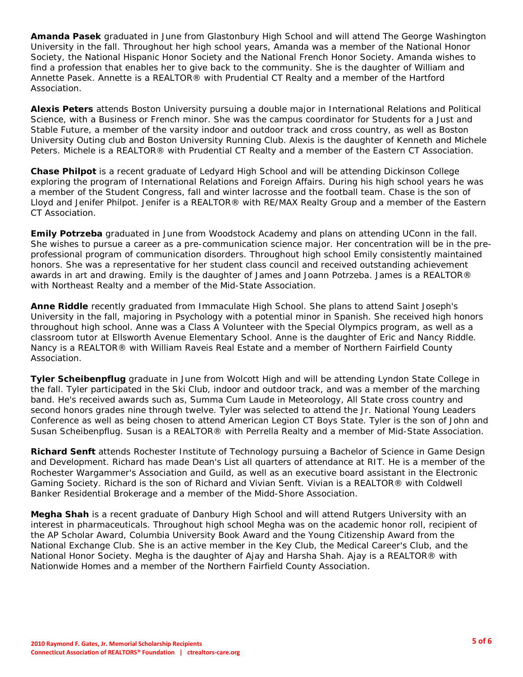**Amanda Pasek** graduated in June from Glastonbury High School and will attend The George Washington University in the fall. Throughout her high school years, Amanda was a member of the National Honor Society, the National Hispanic Honor Society and the National French Honor Society. Amanda wishes to find a profession that enables her to give back to the community. She is the daughter of William and Annette Pasek. Annette is a REALTOR® with Prudential CT Realty and a member of the Hartford Association.

**Alexis Peters** attends Boston University pursuing a double major in International Relations and Political Science, with a Business or French minor. She was the campus coordinator for Students for a Just and Stable Future, a member of the varsity indoor and outdoor track and cross country, as well as Boston University Outing club and Boston University Running Club. Alexis is the daughter of Kenneth and Michele Peters. Michele is a REALTOR® with Prudential CT Realty and a member of the Eastern CT Association.

**Chase Philpot** is a recent graduate of Ledyard High School and will be attending Dickinson College exploring the program of International Relations and Foreign Affairs. During his high school years he was a member of the Student Congress, fall and winter lacrosse and the football team. Chase is the son of Lloyd and Jenifer Philpot. Jenifer is a REALTOR® with RE/MAX Realty Group and a member of the Eastern CT Association.

**Emily Potrzeba** graduated in June from Woodstock Academy and plans on attending UConn in the fall. She wishes to pursue a career as a pre-communication science major. Her concentration will be in the preprofessional program of communication disorders. Throughout high school Emily consistently maintained honors. She was a representative for her student class council and received outstanding achievement awards in art and drawing. Emily is the daughter of James and Joann Potrzeba. James is a REALTOR® with Northeast Realty and a member of the Mid-State Association.

**Anne Riddle** recently graduated from Immaculate High School. She plans to attend Saint Joseph's University in the fall, majoring in Psychology with a potential minor in Spanish. She received high honors throughout high school. Anne was a Class A Volunteer with the Special Olympics program, as well as a classroom tutor at Ellsworth Avenue Elementary School. Anne is the daughter of Eric and Nancy Riddle. Nancy is a REALTOR® with William Raveis Real Estate and a member of Northern Fairfield County Association.

**Tyler Scheibenpflug** graduate in June from Wolcott High and will be attending Lyndon State College in the fall. Tyler participated in the Ski Club, indoor and outdoor track, and was a member of the marching band. He's received awards such as, Summa Cum Laude in Meteorology, All State cross country and second honors grades nine through twelve. Tyler was selected to attend the Jr. National Young Leaders Conference as well as being chosen to attend American Legion CT Boys State. Tyler is the son of John and Susan Scheibenpflug. Susan is a REALTOR® with Perrella Realty and a member of Mid-State Association.

**Richard Senft** attends Rochester Institute of Technology pursuing a Bachelor of Science in Game Design and Development. Richard has made Dean's List all quarters of attendance at RIT. He is a member of the Rochester Wargammer's Association and Guild, as well as an executive board assistant in the Electronic Gaming Society. Richard is the son of Richard and Vivian Senft. Vivian is a REALTOR® with Coldwell Banker Residential Brokerage and a member of the Midd-Shore Association.

**Megha Shah** is a recent graduate of Danbury High School and will attend Rutgers University with an interest in pharmaceuticals. Throughout high school Megha was on the academic honor roll, recipient of the AP Scholar Award, Columbia University Book Award and the Young Citizenship Award from the National Exchange Club. She is an active member in the Key Club, the Medical Career's Club, and the National Honor Society. Megha is the daughter of Ajay and Harsha Shah. Ajay is a REALTOR® with Nationwide Homes and a member of the Northern Fairfield County Association.